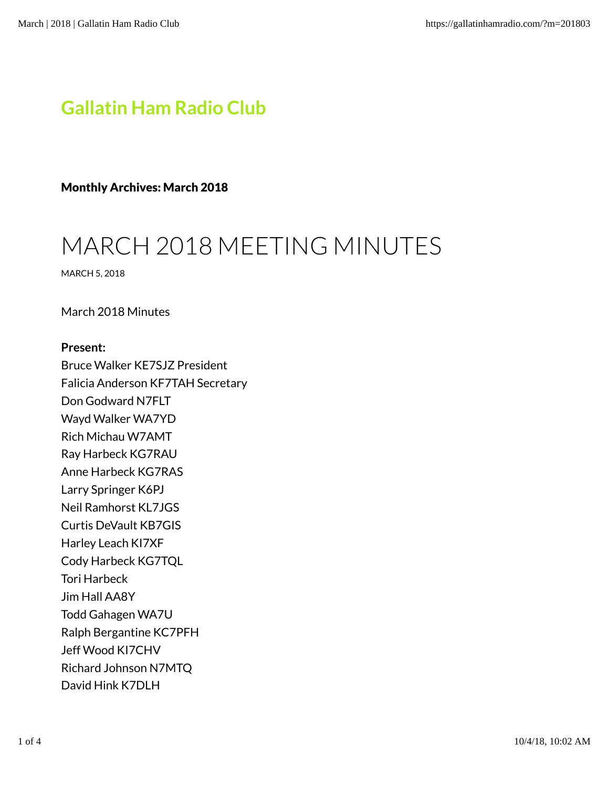# Gallatin Ham Radio Club

Monthly Archives: March 2018

# MARCH 2018 MEETING MINUTES

MARCH 5, 2018

March 2018 Minutes

# Present:

Bruce Walker KE7SJZ President Falicia Anderson KF7TAH Secretary Don Godward N7FLT Wayd Walker WA7YD Rich Michau W7AMT Ray Harbeck KG7RAU Anne Harbeck KG7RAS Larry Springer K6PJ Neil Ramhorst KL7JGS Curtis DeVault KB7GIS Harley Leach KI7XF Cody Harbeck KG7TQL Tori Harbeck Jim Hall AA8Y Todd Gahagen WA7U Ralph Bergantine KC7PFH Jeff Wood KI7CHV Richard Johnson N7MTQ David Hink K7DLH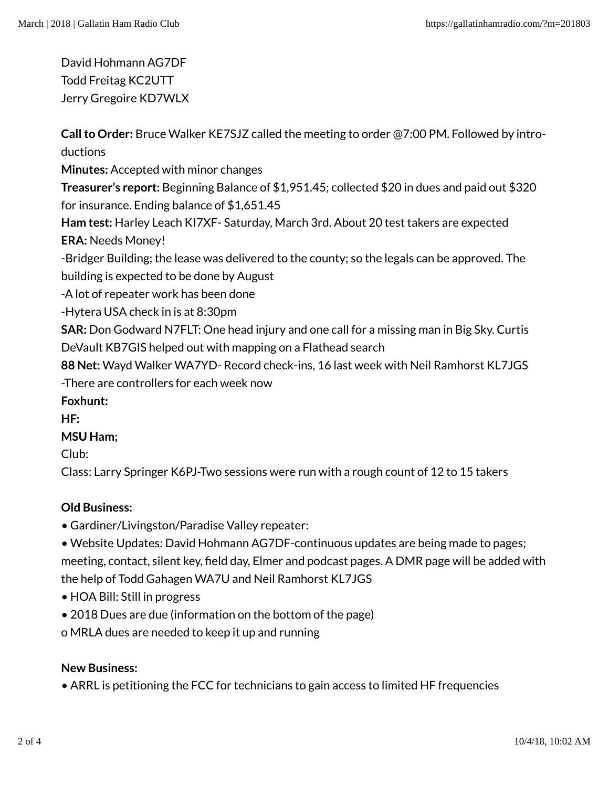David Hohmann AG7DF Todd Freitag KC2UTT Jerry Gregoire KD7WLX

Call to Order: Bruce Walker KE7SJZ called the meeting to order @7:00 PM. Followed by introductions

Minutes: Accepted with minor changes

Treasurer's report: Beginning Balance of \$1,951.45; collected \$20 in dues and paid out \$320 for insurance. Ending balance of \$1,651.45

Ham test: Harley Leach KI7XF- Saturday, March 3rd. About 20 test takers are expected ERA: Needs Money!

-Bridger Building; the lease was delivered to the county; so the legals can be approved. The building is expected to be done by August

-A lot of repeater work has been done

-Hytera USA check in is at 8:30pm

SAR: Don Godward N7FLT: One head injury and one call for a missing man in Big Sky. Curtis DeVault KB7GIS helped out with mapping on a Flathead search

88 Net: Wayd Walker WA7YD- Record check-ins, 16 last week with Neil Ramhorst KL7JGS -There are controllers for each week now

Foxhunt:

HF:

# MSU Ham;

Club:

Class: Larry Springer K6PJ-Two sessions were run with a rough count of 12 to 15 takers

# Old Business:

- Gardiner/Livingston/Paradise Valley repeater:
- Website Updates: David Hohmann AG7DF-continuous updates are being made to pages; meeting, contact, silent key, field day, Elmer and podcast pages. A DMR page will be added with the help of Todd Gahagen WA7U and Neil Ramhorst KL7JGS
- HOA Bill: Still in progress
- 2018 Dues are due (information on the bottom of the page)
- o MRLA dues are needed to keep it up and running

#### New Business:

• ARRL is petitioning the FCC for technicians to gain access to limited HF frequencies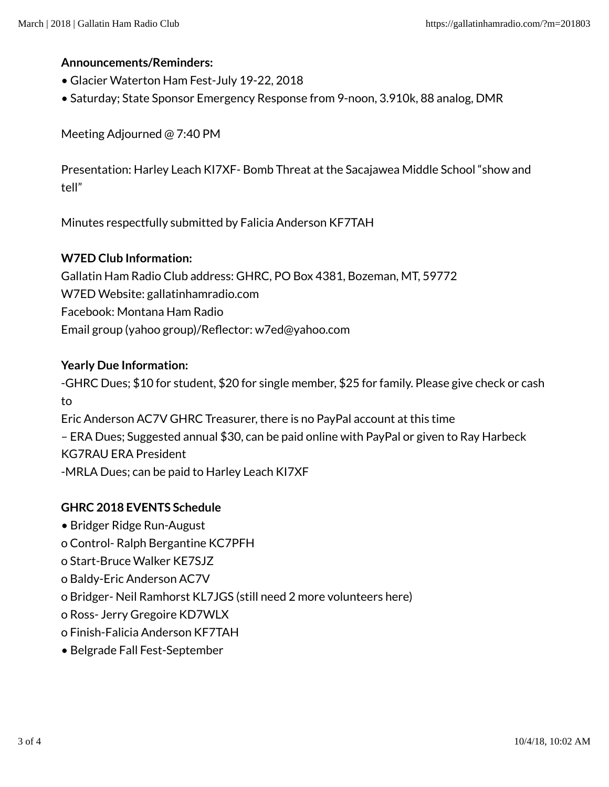#### Announcements/Reminders:

- Glacier Waterton Ham Fest-July 19-22, 2018
- Saturday; State Sponsor Emergency Response from 9-noon, 3.910k, 88 analog, DMR

Meeting Adjourned @ 7:40 PM

Presentation: Harley Leach KI7XF- Bomb Threat at the Sacajawea Middle School "show and tell"

Minutes respectfully submitted by Falicia Anderson KF7TAH

#### W7ED Club Information:

Gallatin Ham Radio Club address: GHRC, PO Box 4381, Bozeman, MT, 59772 W7ED Website: gallatinhamradio.com Facebook: Montana Ham Radio Email group (yahoo group)/Reflector: w7ed@yahoo.com

#### Yearly Due Information:

-GHRC Dues; \$10 for student, \$20 for single member, \$25 for family. Please give check or cash to Eric Anderson AC7V GHRC Treasurer, there is no PayPal account at this time

– ERA Dues; Suggested annual \$30, can be paid online with PayPal or given to Ray Harbeck KG7RAU ERA President

-MRLA Dues; can be paid to Harley Leach KI7XF

# GHRC 2018 EVENTS Schedule

- Bridger Ridge Run-August
- o Control- Ralph Bergantine KC7PFH
- o Start-Bruce Walker KE7SJZ
- o Baldy-Eric Anderson AC7V
- o Bridger- Neil Ramhorst KL7JGS (still need 2 more volunteers here)
- o Ross- Jerry Gregoire KD7WLX
- o Finish-Falicia Anderson KF7TAH
- Belgrade Fall Fest-September